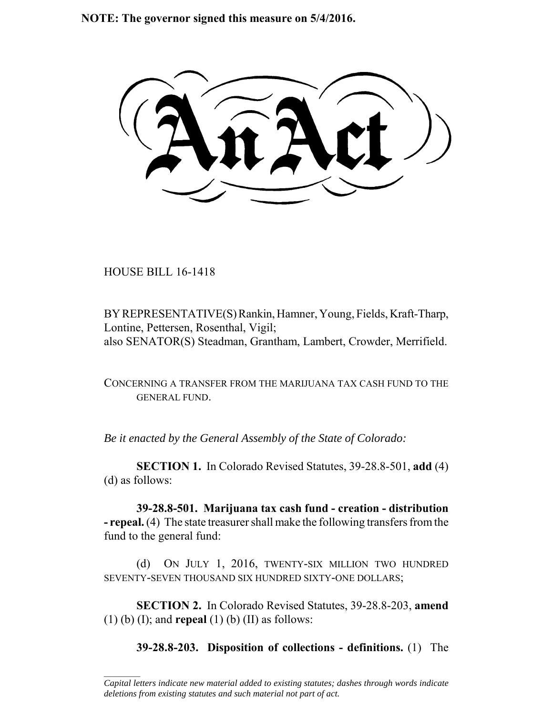**NOTE: The governor signed this measure on 5/4/2016.**

HOUSE BILL 16-1418

 $\frac{1}{2}$ 

BY REPRESENTATIVE(S) Rankin, Hamner, Young, Fields, Kraft-Tharp, Lontine, Pettersen, Rosenthal, Vigil; also SENATOR(S) Steadman, Grantham, Lambert, Crowder, Merrifield.

CONCERNING A TRANSFER FROM THE MARIJUANA TAX CASH FUND TO THE GENERAL FUND.

*Be it enacted by the General Assembly of the State of Colorado:*

**SECTION 1.** In Colorado Revised Statutes, 39-28.8-501, **add** (4) (d) as follows:

**39-28.8-501. Marijuana tax cash fund - creation - distribution - repeal.** (4) The state treasurer shall make the following transfers from the fund to the general fund:

(d) ON JULY 1, 2016, TWENTY-SIX MILLION TWO HUNDRED SEVENTY-SEVEN THOUSAND SIX HUNDRED SIXTY-ONE DOLLARS;

**SECTION 2.** In Colorado Revised Statutes, 39-28.8-203, **amend** (1) (b) (I); and **repeal** (1) (b) (II) as follows:

**39-28.8-203. Disposition of collections - definitions.** (1) The

*Capital letters indicate new material added to existing statutes; dashes through words indicate deletions from existing statutes and such material not part of act.*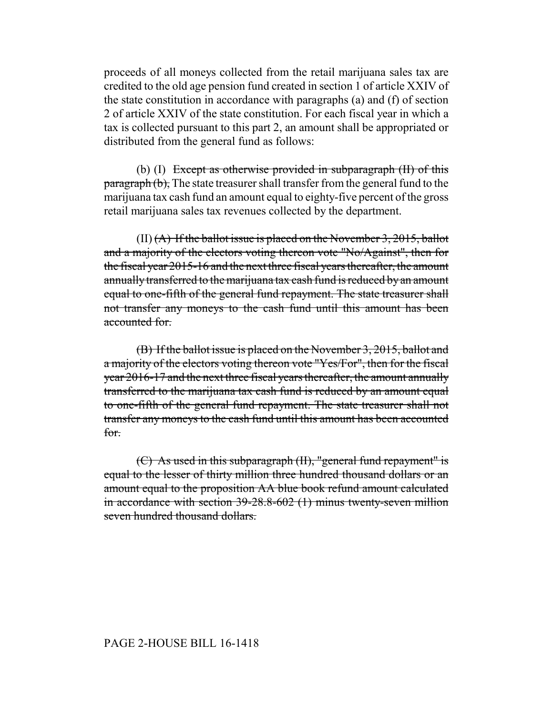proceeds of all moneys collected from the retail marijuana sales tax are credited to the old age pension fund created in section 1 of article XXIV of the state constitution in accordance with paragraphs (a) and (f) of section 2 of article XXIV of the state constitution. For each fiscal year in which a tax is collected pursuant to this part 2, an amount shall be appropriated or distributed from the general fund as follows:

(b) (I) Except as otherwise provided in subparagraph  $(H)$  of this paragraph (b), The state treasurer shall transfer from the general fund to the marijuana tax cash fund an amount equal to eighty-five percent of the gross retail marijuana sales tax revenues collected by the department.

 $(II)$   $(A)$  If the ballot issue is placed on the November 3, 2015, ballot and a majority of the electors voting thereon vote "No/Against", then for the fiscal year 2015-16 and the next three fiscal years thereafter, the amount annually transferred to the marijuana tax cash fund is reduced by an amount equal to one-fifth of the general fund repayment. The state treasurer shall not transfer any moneys to the cash fund until this amount has been accounted for.

(B) If the ballot issue is placed on the November 3, 2015, ballot and a majority of the electors voting thereon vote "Yes/For", then for the fiscal year 2016-17 and the next three fiscal years thereafter, the amount annually transferred to the marijuana tax cash fund is reduced by an amount equal to one-fifth of the general fund repayment. The state treasurer shall not transfer any moneys to the cash fund until this amount has been accounted for.

(C) As used in this subparagraph (II), "general fund repayment" is equal to the lesser of thirty million three hundred thousand dollars or an amount equal to the proposition AA blue book refund amount calculated in accordance with section 39-28.8-602 (1) minus twenty-seven million seven hundred thousand dollars.